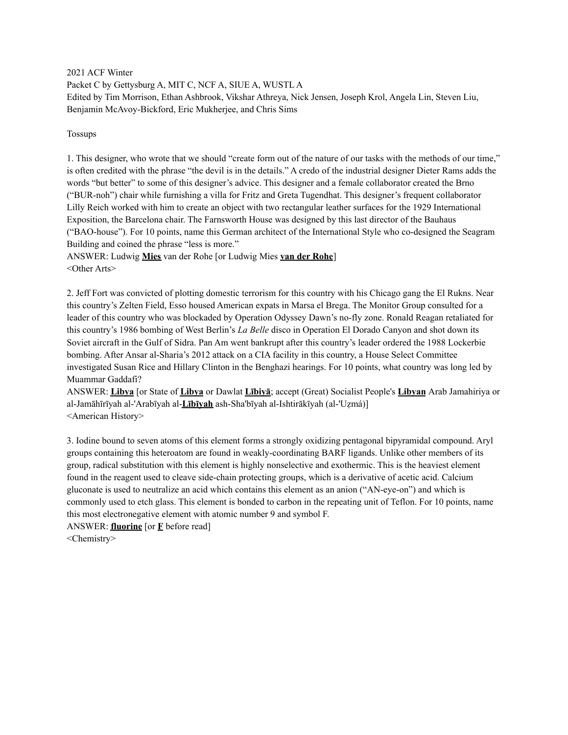2021 ACF Winter Packet C by Gettysburg A, MIT C, NCF A, SIUE A, WUSTL A Edited by Tim Morrison, Ethan Ashbrook, Vikshar Athreya, Nick Jensen, Joseph Krol, Angela Lin, Steven Liu, Benjamin McAvoy-Bickford, Eric Mukherjee, and Chris Sims

Tossups

1. This designer, who wrote that we should "create form out of the nature of our tasks with the methods of our time," is often credited with the phrase "the devil is in the details." A credo of the industrial designer Dieter Rams adds the words "but better" to some of this designer's advice. This designer and a female collaborator created the Brno ("BUR-noh") chair while furnishing a villa for Fritz and Greta Tugendhat. This designer's frequent collaborator Lilly Reich worked with him to create an object with two rectangular leather surfaces for the 1929 International Exposition, the Barcelona chair. The Farnsworth House was designed by this last director of the Bauhaus ("BAO-house"). For 10 points, name this German architect of the International Style who co-designed the Seagram Building and coined the phrase "less is more."

ANSWER: Ludwig **Mies** van der Rohe [or Ludwig Mies **van der Rohe**] <Other Arts>

2. Jeff Fort was convicted of plotting domestic terrorism for this country with his Chicago gang the El Rukns. Near this country's Zelten Field, Esso housed American expats in Marsa el Brega. The Monitor Group consulted for a leader of this country who was blockaded by Operation Odyssey Dawn's no-fly zone. Ronald Reagan retaliated for this country's 1986 bombing of West Berlin's *La Belle* disco in Operation El Dorado Canyon and shot down its Soviet aircraft in the Gulf of Sidra. Pan Am went bankrupt after this country's leader ordered the 1988 Lockerbie bombing. After Ansar al-Sharia's 2012 attack on a CIA facility in this country, a House Select Committee investigated Susan Rice and Hillary Clinton in the Benghazi hearings. For 10 points, what country was long led by Muammar Gaddafi?

ANSWER: **Libya** [or State of **Libya** or Dawlat **Lībiyā**; accept (Great) Socialist People's **Libyan** Arab Jamahiriya or al-Jamāhīrīyah al-'Arabīyah al-**Lībīyah** ash-Sha'bīyah al-Ishtirākīyah (al-'Uẓmá)] <American History>

3. Iodine bound to seven atoms of this element forms a strongly oxidizing pentagonal bipyramidal compound. Aryl groups containing this heteroatom are found in weakly-coordinating BARF ligands. Unlike other members of its group, radical substitution with this element is highly nonselective and exothermic. This is the heaviest element found in the reagent used to cleave side-chain protecting groups, which is a derivative of acetic acid. Calcium gluconate is used to neutralize an acid which contains this element as an anion ("AN-eye-on") and which is commonly used to etch glass. This element is bonded to carbon in the repeating unit of Teflon. For 10 points, name this most electronegative element with atomic number 9 and symbol F.

ANSWER: **fluorine** [or **F** before read]

<Chemistry>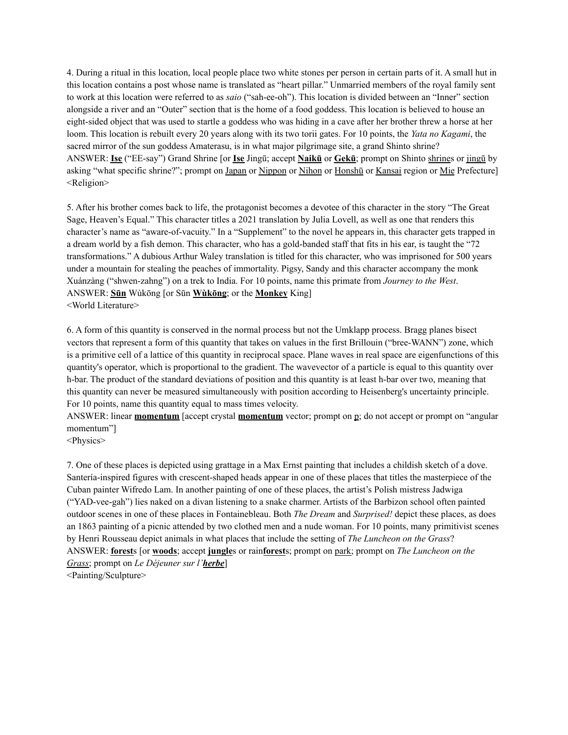4. During a ritual in this location, local people place two white stones per person in certain parts of it. A small hut in this location contains a post whose name is translated as "heart pillar." Unmarried members of the royal family sent to work at this location were referred to as *saio* ("sah-ee-oh"). This location is divided between an "Inner" section alongside a river and an "Outer" section that is the home of a food goddess. This location is believed to house an eight-sided object that was used to startle a goddess who was hiding in a cave after her brother threw a horse at her loom. This location is rebuilt every 20 years along with its two torii gates. For 10 points, the *Yata no Kagami*, the sacred mirror of the sun goddess Amaterasu, is in what major pilgrimage site, a grand Shinto shrine? ANSWER: **Ise** ("EE-say") Grand Shrine [or **Ise** Jingū; accept **Naikū** or **Gekū**; prompt on Shinto shrines or jingū by asking "what specific shrine?"; prompt on Japan or Nippon or Nihon or Honshū or Kansai region or Mie Prefecture] <Religion>

5. After his brother comes back to life, the protagonist becomes a devotee of this character in the story "The Great Sage, Heaven's Equal." This character titles a 2021 translation by Julia Lovell, as well as one that renders this character's name as "aware-of-vacuity." In a "Supplement" to the novel he appears in, this character gets trapped in a dream world by a fish demon. This character, who has a gold-banded staff that fits in his ear, is taught the "72 transformations." A dubious Arthur Waley translation is titled for this character, who was imprisoned for 500 years under a mountain for stealing the peaches of immortality. Pigsy, Sandy and this character accompany the monk Xuánzàng ("shwen-zahng") on a trek to India. For 10 points, name this primate from *Journey to the West*. ANSWER: **Sūn** Wùkōng [or Sūn **Wùkōng**; or the **Monkey** King] <World Literature>

6. A form of this quantity is conserved in the normal process but not the Umklapp process. Bragg planes bisect vectors that represent a form of this quantity that takes on values in the first Brillouin ("bree-WANN") zone, which is a primitive cell of a lattice of this quantity in reciprocal space. Plane waves in real space are eigenfunctions of this quantity's operator, which is proportional to the gradient. The wavevector of a particle is equal to this quantity over h-bar. The product of the standard deviations of position and this quantity is at least h-bar over two, meaning that this quantity can never be measured simultaneously with position according to Heisenberg's uncertainty principle. For 10 points, name this quantity equal to mass times velocity.

ANSWER: linear **momentum** [accept crystal **momentum** vector; prompt on p; do not accept or prompt on "angular momentum"]

<Physics>

7. One of these places is depicted using grattage in a Max Ernst painting that includes a childish sketch of a dove. Santería-inspired figures with crescent-shaped heads appear in one of these places that titles the masterpiece of the Cuban painter Wifredo Lam. In another painting of one of these places, the artist's Polish mistress Jadwiga ("YAD-vee-gah") lies naked on a divan listening to a snake charmer. Artists of the Barbizon school often painted outdoor scenes in one of these places in Fontainebleau. Both *The Dream* and *Surprised!* depict these places, as does an 1863 painting of a picnic attended by two clothed men and a nude woman. For 10 points, many primitivist scenes by Henri Rousseau depict animals in what places that include the setting of *The Luncheon on the Grass*? ANSWER: **forest**s [or **woods**; accept **jungle**s or rain**forest**s; prompt on park; prompt on *The Luncheon on the Grass*; prompt on *Le Déjeuner sur l'herbe*] <Painting/Sculpture>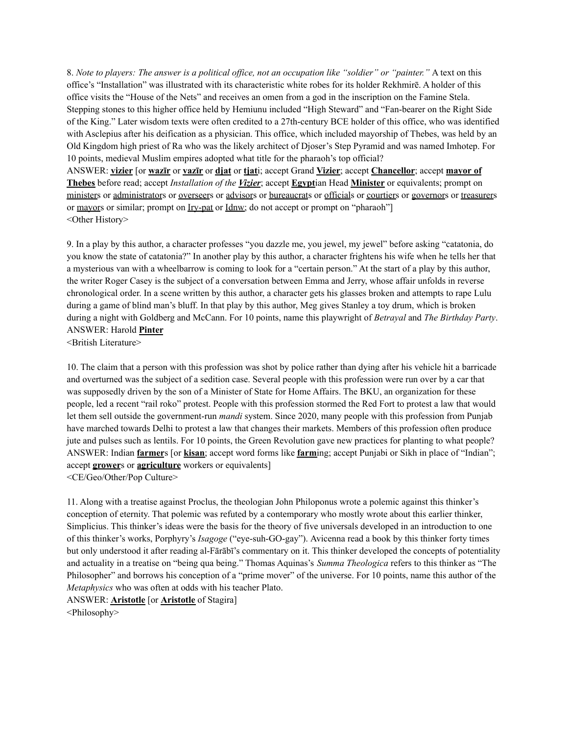8. Note to players: The answer is a political office, not an occupation like "soldier" or "painter." A text on this office's "Installation" was illustrated with its characteristic white robes for its holder Rekhmirē. A holder of this office visits the "House of the Nets" and receives an omen from a god in the inscription on the Famine Stela. Stepping stones to this higher office held by Hemiunu included "High Steward" and "Fan-bearer on the Right Side of the King." Later wisdom texts were often credited to a 27th-century BCE holder of this office, who was identified with Asclepius after his deification as a physician. This office, which included mayorship of Thebes, was held by an Old Kingdom high priest of Ra who was the likely architect of Djoser's Step Pyramid and was named Imhotep. For 10 points, medieval Muslim empires adopted what title for the pharaoh's top official?

ANSWER: **vizier** [or **wazīr** or **vazīr** or **djat** or **tjat**i; accept Grand **Vizier**; accept **Chancellor**; accept **mayor of Thebes** before read; accept *Installation of the Vizier*; accept **Egypt**ian Head **Minister** or equivalents; prompt on ministers or administrators or overseers or advisors or bureaucrats or officials or courtiers or governors or treasurers or mayors or similar; prompt on Iry-pat or Idnw; do not accept or prompt on "pharaoh"] <Other History>

9. In a play by this author, a character professes "you dazzle me, you jewel, my jewel" before asking "catatonia, do you know the state of catatonia?" In another play by this author, a character frightens his wife when he tells her that a mysterious van with a wheelbarrow is coming to look for a "certain person." At the start of a play by this author, the writer Roger Casey is the subject of a conversation between Emma and Jerry, whose affair unfolds in reverse chronological order. In a scene written by this author, a character gets his glasses broken and attempts to rape Lulu during a game of blind man's bluff. In that play by this author, Meg gives Stanley a toy drum, which is broken during a night with Goldberg and McCann. For 10 points, name this playwright of *Betrayal* and *The Birthday Party*. ANSWER: Harold **Pinter**

<British Literature>

10. The claim that a person with this profession was shot by police rather than dying after his vehicle hit a barricade and overturned was the subject of a sedition case. Several people with this profession were run over by a car that was supposedly driven by the son of a Minister of State for Home Affairs. The BKU, an organization for these people, led a recent "rail roko" protest. People with this profession stormed the Red Fort to protest a law that would let them sell outside the government-run *mandi* system. Since 2020, many people with this profession from Punjab have marched towards Delhi to protest a law that changes their markets. Members of this profession often produce jute and pulses such as lentils. For 10 points, the Green Revolution gave new practices for planting to what people? ANSWER: Indian **farmer**s [or **kisan**; accept word forms like **farm**ing; accept Punjabi or Sikh in place of "Indian"; accept **grower**s or **agriculture** workers or equivalents] <CE/Geo/Other/Pop Culture>

11. Along with a treatise against Proclus, the theologian John Philoponus wrote a polemic against this thinker's conception of eternity. That polemic was refuted by a contemporary who mostly wrote about this earlier thinker, Simplicius. This thinker's ideas were the basis for the theory of five universals developed in an introduction to one of this thinker's works, Porphyry's *Isagoge* ("eye-suh-GO-gay"). Avicenna read a book by this thinker forty times but only understood it after reading al-Fārābī's commentary on it. This thinker developed the concepts of potentiality and actuality in a treatise on "being qua being." Thomas Aquinas's *Summa Theologica* refers to this thinker as "The Philosopher" and borrows his conception of a "prime mover" of the universe. For 10 points, name this author of the *Metaphysics* who was often at odds with his teacher Plato.

ANSWER: **Aristotle** [or **Aristotle** of Stagira]

<Philosophy>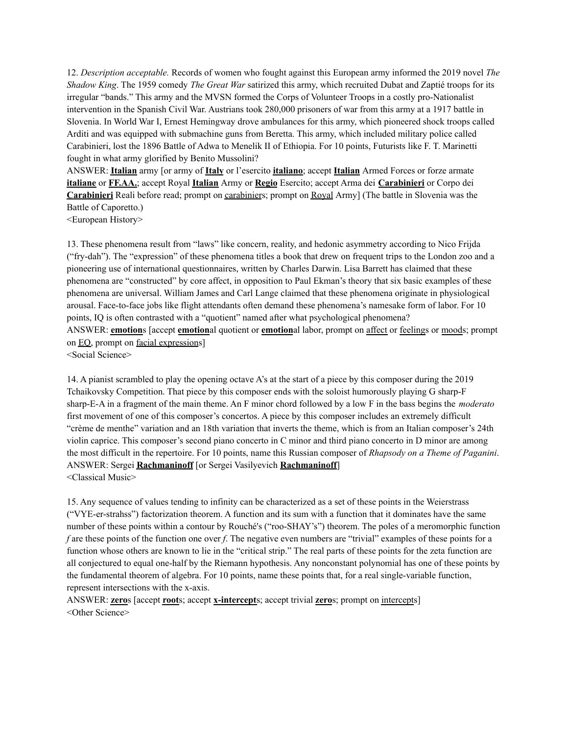12. *Description acceptable.* Records of women who fought against this European army informed the 2019 novel *The Shadow King*. The 1959 comedy *The Great War* satirized this army, which recruited Dubat and Zaptié troops for its irregular "bands." This army and the MVSN formed the Corps of Volunteer Troops in a costly pro-Nationalist intervention in the Spanish Civil War. Austrians took 280,000 prisoners of war from this army at a 1917 battle in Slovenia. In World War I, Ernest Hemingway drove ambulances for this army, which pioneered shock troops called Arditi and was equipped with submachine guns from Beretta. This army, which included military police called Carabinieri, lost the 1896 Battle of Adwa to Menelik II of Ethiopia. For 10 points, Futurists like F. T. Marinetti fought in what army glorified by Benito Mussolini?

ANSWER: **Italian** army [or army of **Italy** or l'esercito **italiano**; accept **Italian** Armed Forces or forze armate **italiane** or **FF.AA.**; accept Royal **Italian** Army or **Regio** Esercito; accept Arma dei **Carabinieri** or Corpo dei **Carabinieri** Reali before read; prompt on carabiniers; prompt on Royal Army] (The battle in Slovenia was the Battle of Caporetto.)

<European History>

13. These phenomena result from "laws" like concern, reality, and hedonic asymmetry according to Nico Frijda ("fry-dah"). The "expression" of these phenomena titles a book that drew on frequent trips to the London zoo and a pioneering use of international questionnaires, written by Charles Darwin. Lisa Barrett has claimed that these phenomena are "constructed" by core affect, in opposition to Paul Ekman's theory that six basic examples of these phenomena are universal. William James and Carl Lange claimed that these phenomena originate in physiological arousal. Face-to-face jobs like flight attendants often demand these phenomena's namesake form of labor. For 10 points, IQ is often contrasted with a "quotient" named after what psychological phenomena? ANSWER: **emotion**s [accept **emotion**al quotient or **emotion**al labor, prompt on affect or feelings or moods; prompt on EQ, prompt on facial expressions] <Social Science>

14. A pianist scrambled to play the opening octave A's at the start of a piece by this composer during the 2019 Tchaikovsky Competition. That piece by this composer ends with the soloist humorously playing G sharp-F sharp-E-A in a fragment of the main theme. An F minor chord followed by a low F in the bass begins the *moderato* first movement of one of this composer's concertos. A piece by this composer includes an extremely difficult "crème de menthe" variation and an 18th variation that inverts the theme, which is from an Italian composer's 24th violin caprice. This composer's second piano concerto in C minor and third piano concerto in D minor are among the most difficult in the repertoire. For 10 points, name this Russian composer of *Rhapsody on a Theme of Paganini*. ANSWER: Sergei **Rachmaninoff** [or Sergei Vasilyevich **Rachmaninoff**] <Classical Music>

15. Any sequence of values tending to infinity can be characterized as a set of these points in the Weierstrass ("VYE-er-strahss") factorization theorem. A function and its sum with a function that it dominates have the same number of these points within a contour by Rouché's ("roo-SHAY's") theorem. The poles of a meromorphic function *f* are these points of the function one over *f*. The negative even numbers are "trivial" examples of these points for a function whose others are known to lie in the "critical strip." The real parts of these points for the zeta function are all conjectured to equal one-half by the Riemann hypothesis. Any nonconstant polynomial has one of these points by the fundamental theorem of algebra. For 10 points, name these points that, for a real single-variable function, represent intersections with the x-axis.

ANSWER: **zero**s [accept **root**s; accept **x-intercept**s; accept trivial **zero**s; prompt on intercepts] <Other Science>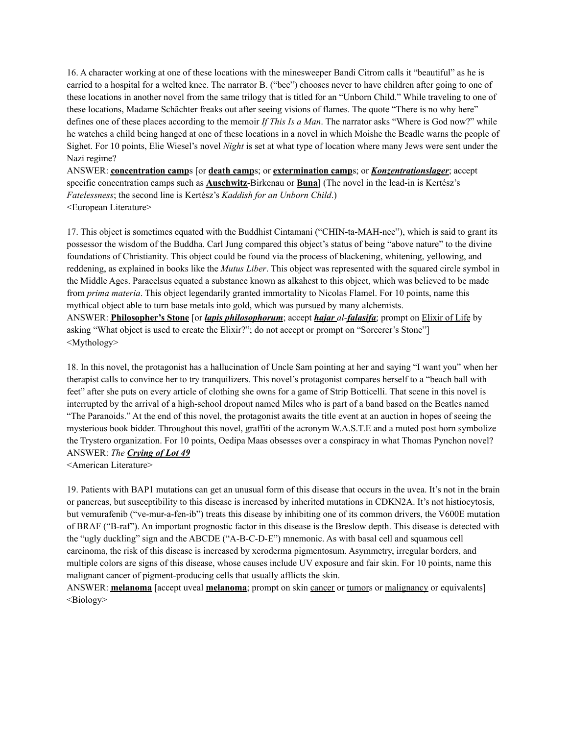16. A character working at one of these locations with the minesweeper Bandi Citrom calls it "beautiful" as he is carried to a hospital for a welted knee. The narrator B. ("bee") chooses never to have children after going to one of these locations in another novel from the same trilogy that is titled for an "Unborn Child." While traveling to one of these locations, Madame Schächter freaks out after seeing visions of flames. The quote "There is no why here" defines one of these places according to the memoir *If This Is a Man*. The narrator asks "Where is God now?" while he watches a child being hanged at one of these locations in a novel in which Moishe the Beadle warns the people of Sighet. For 10 points, Elie Wiesel's novel *Night* is set at what type of location where many Jews were sent under the Nazi regime?

ANSWER: **concentration camp**s [or **death camp**s; or **extermination camp**s; or *Konzentrationslager*; accept specific concentration camps such as **Auschwitz**-Birkenau or **Buna**] (The novel in the lead-in is Kertész's *Fatelessness*; the second line is Kertész's *Kaddish for an Unborn Child*.) <European Literature>

17. This object is sometimes equated with the Buddhist Cintamani ("CHIN-ta-MAH-nee"), which is said to grant its possessor the wisdom of the Buddha. Carl Jung compared this object's status of being "above nature" to the divine foundations of Christianity. This object could be found via the process of blackening, whitening, yellowing, and reddening, as explained in books like the *Mutus Liber*. This object was represented with the squared circle symbol in the Middle Ages. Paracelsus equated a substance known as alkahest to this object, which was believed to be made from *prima materia*. This object legendarily granted immortality to Nicolas Flamel. For 10 points, name this mythical object able to turn base metals into gold, which was pursued by many alchemists. ANSWER: **Philosopher's Stone** [or *lapis philosophorum*; accept *hajar al-falasifa*; prompt on Elixir of Life by asking "What object is used to create the Elixir?"; do not accept or prompt on "Sorcerer's Stone"] <Mythology>

18. In this novel, the protagonist has a hallucination of Uncle Sam pointing at her and saying "I want you" when her therapist calls to convince her to try tranquilizers. This novel's protagonist compares herself to a "beach ball with feet" after she puts on every article of clothing she owns for a game of Strip Botticelli. That scene in this novel is interrupted by the arrival of a high-school dropout named Miles who is part of a band based on the Beatles named "The Paranoids." At the end of this novel, the protagonist awaits the title event at an auction in hopes of seeing the mysterious book bidder. Throughout this novel, graffiti of the acronym W.A.S.T.E and a muted post horn symbolize the Trystero organization. For 10 points, Oedipa Maas obsesses over a conspiracy in what Thomas Pynchon novel? ANSWER: *The Crying of Lot 49*

<American Literature>

19. Patients with BAP1 mutations can get an unusual form of this disease that occurs in the uvea. It's not in the brain or pancreas, but susceptibility to this disease is increased by inherited mutations in CDKN2A. It's not histiocytosis, but vemurafenib ("ve-mur-a-fen-ib") treats this disease by inhibiting one of its common drivers, the V600E mutation of BRAF ("B-raf"). An important prognostic factor in this disease is the Breslow depth. This disease is detected with the "ugly duckling" sign and the ABCDE ("A-B-C-D-E") mnemonic. As with basal cell and squamous cell carcinoma, the risk of this disease is increased by xeroderma pigmentosum. Asymmetry, irregular borders, and multiple colors are signs of this disease, whose causes include UV exposure and fair skin. For 10 points, name this malignant cancer of pigment-producing cells that usually afflicts the skin.

ANSWER: **melanoma** [accept uveal **melanoma**; prompt on skin cancer or tumors or malignancy or equivalents] <Biology>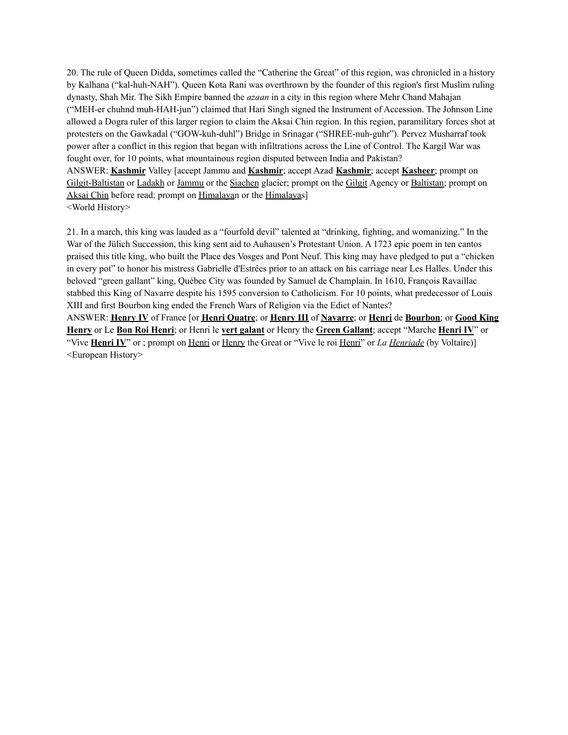20. The rule of Queen Didda, sometimes called the "Catherine the Great" of this region, was chronicled in a history by Kalhana ("kal-huh-NAH"). Queen Kota Rani was overthrown by the founder of this region's first Muslim ruling dynasty, Shah Mir. The Sikh Empire banned the *azaan* in a city in this region where Mehr Chand Mahajan ("MEH-er chuhnd muh-HAH-jun") claimed that Hari Singh signed the Instrument of Accession. The Johnson Line allowed a Dogra ruler of this larger region to claim the Aksai Chin region. In this region, paramilitary forces shot at protesters on the Gawkadal ("GOW-kuh-duhl") Bridge in Srinagar ("SHREE-nuh-guhr"). Pervez Musharraf took power after a conflict in this region that began with infiltrations across the Line of Control. The Kargil War was fought over, for 10 points, what mountainous region disputed between India and Pakistan? ANSWER: **Kashmir** Valley [accept Jammu and **Kashmir**; accept Azad **Kashmir**; accept **Kasheer**; prompt on Gilgit-Baltistan or Ladakh or Jammu or the Siachen glacier; prompt on the Gilgit Agency or Baltistan; prompt on Aksai Chin before read; prompt on Himalayan or the Himalayas] <World History>

21. In a march, this king was lauded as a "fourfold devil" talented at "drinking, fighting, and womanizing." In the War of the Jülich Succession, this king sent aid to Auhausen's Protestant Union. A 1723 epic poem in ten cantos praised this title king, who built the Place des Vosges and Pont Neuf. This king may have pledged to put a "chicken in every pot" to honor his mistress Gabrielle d'Estrées prior to an attack on his carriage near Les Halles. Under this beloved "green gallant" king, Québec City was founded by Samuel de Champlain. In 1610, François Ravaillac stabbed this King of Navarre despite his 1595 conversion to Catholicism. For 10 points, what predecessor of Louis XIII and first Bourbon king ended the French Wars of Religion via the Edict of Nantes? ANSWER: **Henry IV** of France [or **Henri Quatre**; or **Henry III** of **Navarre**; or **Henri** de **Bourbon**; or **Good King Henry** or Le **Bon Roi Henri**; or Henri le **vert galant** or Henry the **Green Gallant**; accept "Marche **Henri IV**" or "Vive **Henri IV**" or ; prompt on Henri or Henry the Great or "Vive le roi Henri" or *La Henriade* (by Voltaire)]

<European History>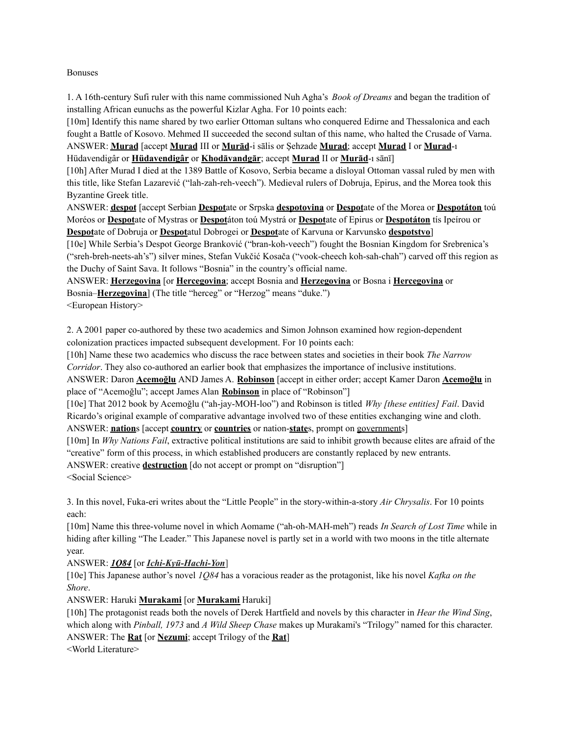#### Bonuses

1. A 16th-century Sufi ruler with this name commissioned Nuh Agha's *Book of Dreams* and began the tradition of installing African eunuchs as the powerful Kizlar Agha. For 10 points each:

[10m] Identify this name shared by two earlier Ottoman sultans who conquered Edirne and Thessalonica and each fought a Battle of Kosovo. Mehmed II succeeded the second sultan of this name, who halted the Crusade of Varna. ANSWER: **Murad** [accept **Murad** III or **Murād**-i sālis or Şehzade **Murad**; accept **Murad** I or **Murad**-ı Hüdavendigâr or **Hüdavendigâr** or **Khodāvandgār**; accept **Murad** II or **Murād**-ı sānī]

[10h] After Murad I died at the 1389 Battle of Kosovo, Serbia became a disloyal Ottoman vassal ruled by men with this title, like Stefan Lazarević ("lah-zah-reh-veech"). Medieval rulers of Dobruja, Epirus, and the Morea took this Byzantine Greek title.

ANSWER: **despot** [accept Serbian **Despot**ate or Srpska **despotovina** or **Despot**ate of the Morea or **Despotáton** toú Moréos or **Despot**ate of Mystras or **Despot**áton toú Mystrá or **Despot**ate of Epirus or **Despotáton** tís Ipeírou or **Despot**ate of Dobruja or **Despot**atul Dobrogei or **Despot**ate of Karvuna or Karvunsko **despotstvo**]

[10e] While Serbia's Despot George Branković ("bran-koh-veech") fought the Bosnian Kingdom for Srebrenica's ("sreh-breh-neets-ah's") silver mines, Stefan Vukčić Kosača ("vook-cheech koh-sah-chah") carved off this region as the Duchy of Saint Sava. It follows "Bosnia" in the country's official name.

ANSWER: **Herzegovina** [or **Hercegovina**; accept Bosnia and **Herzegovina** or Bosna i **Hercegovina** or Bosnia–**Herzegovina**] (The title "herceg" or "Herzog" means "duke.")

<European History>

2. A 2001 paper co-authored by these two academics and Simon Johnson examined how region-dependent colonization practices impacted subsequent development. For 10 points each:

[10h] Name these two academics who discuss the race between states and societies in their book *The Narrow Corridor*. They also co-authored an earlier book that emphasizes the importance of inclusive institutions.

ANSWER: Daron **Acemoğlu** AND James A. **Robinson** [accept in either order; accept Kamer Daron **Acemoğlu** in place of "Acemoğlu"; accept James Alan **Robinson** in place of "Robinson"]

[10e] That 2012 book by Acemoğlu ("ah-jay-MOH-loo") and Robinson is titled *Why [these entities] Fail*. David Ricardo's original example of comparative advantage involved two of these entities exchanging wine and cloth. ANSWER: **nation**s [accept **country** or **countries** or nation-**state**s, prompt on governments]

[10m] In *Why Nations Fail*, extractive political institutions are said to inhibit growth because elites are afraid of the "creative" form of this process, in which established producers are constantly replaced by new entrants.

ANSWER: creative **destruction** [do not accept or prompt on "disruption"] <Social Science>

3. In this novel, Fuka-eri writes about the "Little People" in the story-within-a-story *Air Chrysalis*. For 10 points each:

[10m] Name this three-volume novel in which Aomame ("ah-oh-MAH-meh") reads *In Search of Lost Time* while in hiding after killing "The Leader." This Japanese novel is partly set in a world with two moons in the title alternate year.

# ANSWER: *1Q84* [or *Ichi-Kyū-Hachi-Yon*]

[10e] This Japanese author's novel *1Q84* has a voracious reader as the protagonist, like his novel *Kafka on the Shore*.

# ANSWER: Haruki **Murakami** [or **Murakami** Haruki]

[10h] The protagonist reads both the novels of Derek Hartfield and novels by this character in *Hear the Wind Sing*, which along with *Pinball, 1973* and *A Wild Sheep Chase* makes up Murakami's "Trilogy" named for this character. ANSWER: The **Rat** [or **Nezumi**; accept Trilogy of the **Rat**]

<World Literature>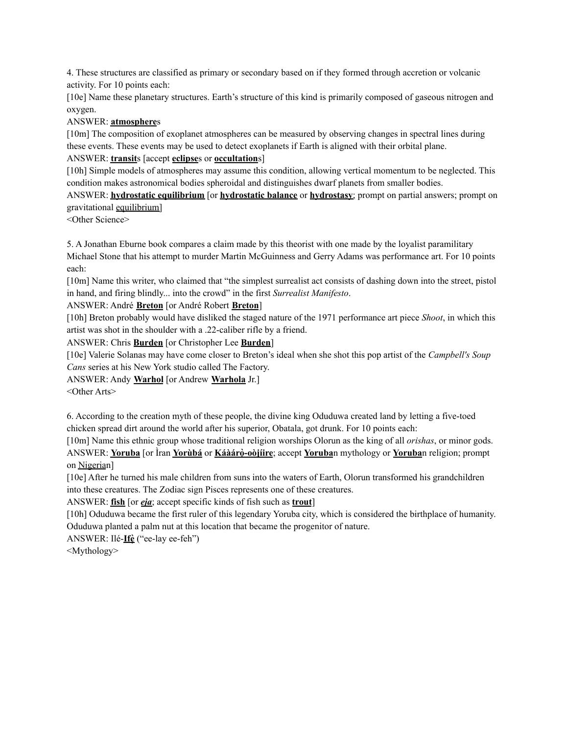4. These structures are classified as primary or secondary based on if they formed through accretion or volcanic activity. For 10 points each:

[10e] Name these planetary structures. Earth's structure of this kind is primarily composed of gaseous nitrogen and oxygen.

ANSWER: **atmosphere**s

[10m] The composition of exoplanet atmospheres can be measured by observing changes in spectral lines during these events. These events may be used to detect exoplanets if Earth is aligned with their orbital plane.

ANSWER: **transit**s [accept **eclipse**s or **occultation**s]

[10h] Simple models of atmospheres may assume this condition, allowing vertical momentum to be neglected. This condition makes astronomical bodies spheroidal and distinguishes dwarf planets from smaller bodies.

ANSWER: **hydrostatic equilibrium** [or **hydrostatic balance** or **hydrostasy**; prompt on partial answers; prompt on gravitational equilibrium]

<Other Science>

5. A Jonathan Eburne book compares a claim made by this theorist with one made by the loyalist paramilitary Michael Stone that his attempt to murder Martin McGuinness and Gerry Adams was performance art. For 10 points each:

[10m] Name this writer, who claimed that "the simplest surrealist act consists of dashing down into the street, pistol in hand, and firing blindly... into the crowd" in the first *Surrealist Manifesto*.

ANSWER: André **Breton** [or André Robert **Breton**]

[10h] Breton probably would have disliked the staged nature of the 1971 performance art piece *Shoot*, in which this artist was shot in the shoulder with a .22-caliber rifle by a friend.

ANSWER: Chris **Burden** [or Christopher Lee **Burden**]

[10e] Valerie Solanas may have come closer to Breton's ideal when she shot this pop artist of the *Campbell's Soup Cans* series at his New York studio called The Factory.

ANSWER: Andy **Warhol** [or Andrew **Warhola** Jr.]

<Other Arts>

6. According to the creation myth of these people, the divine king Oduduwa created land by letting a five-toed chicken spread dirt around the world after his superior, Obatala, got drunk. For 10 points each:

[10m] Name this ethnic group whose traditional religion worships Olorun as the king of all *orishas*, or minor gods. ANSWER: **Yoruba** [or Ìran **Yorùbá** or **Káàárọ̀-oòjíire**; accept **Yoruba**n mythology or **Yoruba**n religion; prompt on Nigerian]

[10e] After he turned his male children from suns into the waters of Earth, Olorun transformed his grandchildren into these creatures. The Zodiac sign Pisces represents one of these creatures.

ANSWER: **fish** [or *eja*; accept specific kinds of fish such as **trout**]

[10h] Oduduwa became the first ruler of this legendary Yoruba city, which is considered the birthplace of humanity. Oduduwa planted a palm nut at this location that became the progenitor of nature.

ANSWER: Ilé-**Ifẹ̀**("ee-lay ee-feh")

<Mythology>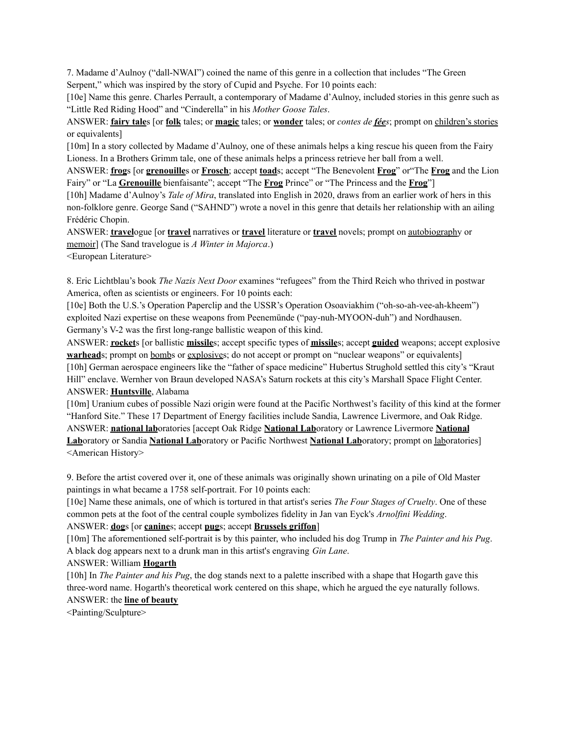7. Madame d'Aulnoy ("dall-NWAI") coined the name of this genre in a collection that includes "The Green Serpent," which was inspired by the story of Cupid and Psyche. For 10 points each:

[10e] Name this genre. Charles Perrault, a contemporary of Madame d'Aulnoy, included stories in this genre such as "Little Red Riding Hood" and "Cinderella" in his *Mother Goose Tales*.

ANSWER: **fairy tale**s [or **folk** tales; or **magic** tales; or **wonder** tales; or *contes de fées*; prompt on children's stories or equivalents]

[10m] In a story collected by Madame d'Aulnoy, one of these animals helps a king rescue his queen from the Fairy Lioness. In a Brothers Grimm tale, one of these animals helps a princess retrieve her ball from a well.

ANSWER: **frog**s [or **grenouille**s or **Frosch**; accept **toad**s; accept "The Benevolent **Frog**" or"The **Frog** and the Lion Fairy" or "La **Grenouille** bienfaisante"; accept "The **Frog** Prince" or "The Princess and the **Frog**"]

[10h] Madame d'Aulnoy's *Tale of Mira*, translated into English in 2020, draws from an earlier work of hers in this non-folklore genre. George Sand ("SAHND") wrote a novel in this genre that details her relationship with an ailing Frédéric Chopin.

ANSWER: **travel**ogue [or **travel** narratives or **travel** literature or **travel** novels; prompt on autobiography or memoir] (The Sand travelogue is *A Winter in Majorca*.)

<European Literature>

8. Eric Lichtblau's book *The Nazis Next Door* examines "refugees" from the Third Reich who thrived in postwar America, often as scientists or engineers. For 10 points each:

[10e] Both the U.S.'s Operation Paperclip and the USSR's Operation Osoaviakhim ("oh-so-ah-vee-ah-kheem") exploited Nazi expertise on these weapons from Peenemünde ("pay-nuh-MYOON-duh") and Nordhausen. Germany's V-2 was the first long-range ballistic weapon of this kind.

ANSWER: **rocket**s [or ballistic **missile**s; accept specific types of **missile**s; accept **guided** weapons; accept explosive **warheads**; prompt on bombs or explosives; do not accept or prompt on "nuclear weapons" or equivalents] [10h] German aerospace engineers like the "father of space medicine" Hubertus Strughold settled this city's "Kraut Hill" enclave. Wernher von Braun developed NASA's Saturn rockets at this city's Marshall Space Flight Center. ANSWER: **Huntsville**, Alabama

[10m] Uranium cubes of possible Nazi origin were found at the Pacific Northwest's facility of this kind at the former "Hanford Site." These 17 Department of Energy facilities include Sandia, Lawrence Livermore, and Oak Ridge. ANSWER: **national lab**oratories [accept Oak Ridge **National Lab**oratory or Lawrence Livermore **National Lab**oratory or Sandia **National Lab**oratory or Pacific Northwest **National Lab**oratory; prompt on laboratories] <American History>

9. Before the artist covered over it, one of these animals was originally shown urinating on a pile of Old Master paintings in what became a 1758 self-portrait. For 10 points each:

[10e] Name these animals, one of which is tortured in that artist's series *The Four Stages of Cruelty*. One of these common pets at the foot of the central couple symbolizes fidelity in Jan van Eyck's *Arnolfini Wedding*.

ANSWER: **dog**s [or **canine**s; accept **pug**s; accept **Brussels griffon**]

[10m] The aforementioned self-portrait is by this painter, who included his dog Trump in *The Painter and his Pug*. A black dog appears next to a drunk man in this artist's engraving *Gin Lane*.

#### ANSWER: William **Hogarth**

[10h] In *The Painter and his Pug*, the dog stands next to a palette inscribed with a shape that Hogarth gave this three-word name. Hogarth's theoretical work centered on this shape, which he argued the eye naturally follows. ANSWER: the **line of beauty**

<Painting/Sculpture>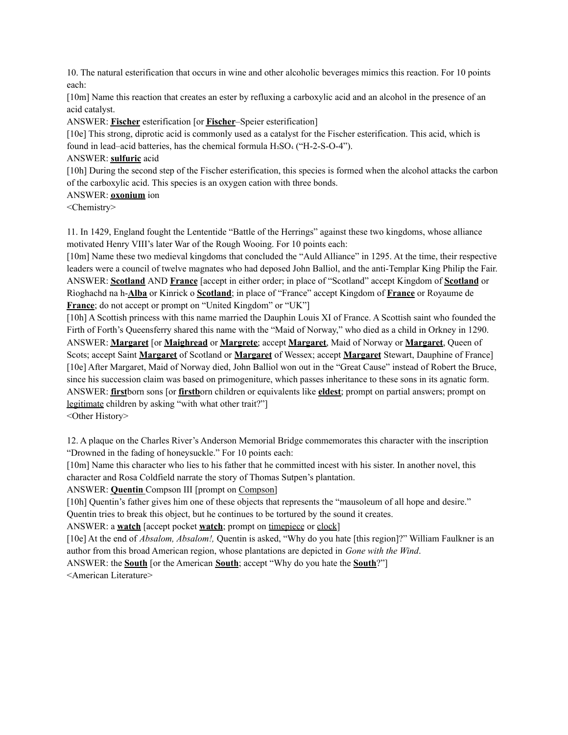10. The natural esterification that occurs in wine and other alcoholic beverages mimics this reaction. For 10 points each:

[10m] Name this reaction that creates an ester by refluxing a carboxylic acid and an alcohol in the presence of an acid catalyst.

ANSWER: **Fischer** esterification [or **Fischer**–Speier esterification]

[10e] This strong, diprotic acid is commonly used as a catalyst for the Fischer esterification. This acid, which is found in lead–acid batteries, has the chemical formula  $H_2SO_4$  ("H-2-S-O-4").

#### ANSWER: **sulfuric** acid

[10h] During the second step of the Fischer esterification, this species is formed when the alcohol attacks the carbon of the carboxylic acid. This species is an oxygen cation with three bonds.

# ANSWER: **oxonium** ion

<Chemistry>

11. In 1429, England fought the Lententide "Battle of the Herrings" against these two kingdoms, whose alliance motivated Henry VIII's later War of the Rough Wooing. For 10 points each:

[10m] Name these two medieval kingdoms that concluded the "Auld Alliance" in 1295. At the time, their respective leaders were a council of twelve magnates who had deposed John Balliol, and the anti-Templar King Philip the Fair. ANSWER: **Scotland** AND **France** [accept in either order; in place of "Scotland" accept Kingdom of **Scotland** or Rìoghachd na h-**Alba** or Kinrick o **Scotland**; in place of "France" accept Kingdom of **France** or Royaume de **France**; do not accept or prompt on "United Kingdom" or "UK"]

[10h] A Scottish princess with this name married the Dauphin Louis XI of France. A Scottish saint who founded the Firth of Forth's Queensferry shared this name with the "Maid of Norway," who died as a child in Orkney in 1290. ANSWER: **Margaret** [or **Maighread** or **Margrete**; accept **Margaret**, Maid of Norway or **Margaret**, Queen of Scots; accept Saint **Margaret** of Scotland or **Margaret** of Wessex; accept **Margaret** Stewart, Dauphine of France] [10e] After Margaret, Maid of Norway died, John Balliol won out in the "Great Cause" instead of Robert the Bruce, since his succession claim was based on primogeniture, which passes inheritance to these sons in its agnatic form. ANSWER: **first**born sons [or **firstb**orn children or equivalents like **eldest**; prompt on partial answers; prompt on legitimate children by asking "with what other trait?"]

<Other History>

12. A plaque on the Charles River's Anderson Memorial Bridge commemorates this character with the inscription "Drowned in the fading of honeysuckle." For 10 points each:

[10m] Name this character who lies to his father that he committed incest with his sister. In another novel, this character and Rosa Coldfield narrate the story of Thomas Sutpen's plantation.

ANSWER: **Quentin** Compson III [prompt on Compson]

[10h] Quentin's father gives him one of these objects that represents the "mausoleum of all hope and desire."

Quentin tries to break this object, but he continues to be tortured by the sound it creates.

ANSWER: a **watch** [accept pocket **watch**; prompt on timepiece or clock]

[10e] At the end of *Absalom, Absalom!,* Quentin is asked, "Why do you hate [this region]?" William Faulkner is an author from this broad American region, whose plantations are depicted in *Gone with the Wind*.

ANSWER: the **South** [or the American **South**; accept "Why do you hate the **South**?"] <American Literature>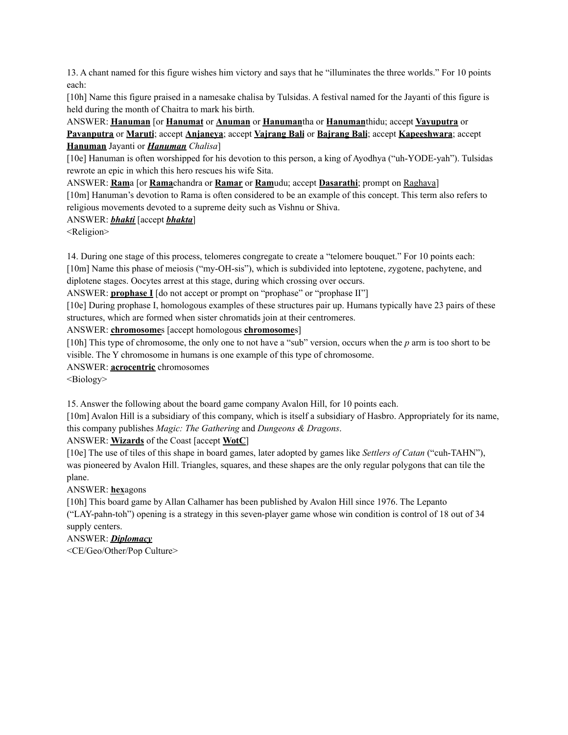13. A chant named for this figure wishes him victory and says that he "illuminates the three worlds." For 10 points each:

[10h] Name this figure praised in a namesake chalisa by Tulsidas. A festival named for the Jayanti of this figure is held during the month of Chaitra to mark his birth.

ANSWER: **Hanuman** [or **Hanumat** or **Anuman** or **Hanuman**tha or **Hanuman**thidu; accept **Vayuputra** or **Pavanputra** or **Maruti**; accept **Anjaneya**; accept **Vajrang Bali** or **Bajrang Bali**; accept **Kapeeshwara**; accept **Hanuman** Jayanti or *Hanuman Chalisa*]

[10e] Hanuman is often worshipped for his devotion to this person, a king of Ayodhya ("uh-YODE-yah"). Tulsidas rewrote an epic in which this hero rescues his wife Sita.

ANSWER: **Ram**a [or **Rama**chandra or **Ramar** or **Ram**udu; accept **Dasarathi**; prompt on Raghava]

[10m] Hanuman's devotion to Rama is often considered to be an example of this concept. This term also refers to religious movements devoted to a supreme deity such as Vishnu or Shiva.

### ANSWER: *bhakti* [accept *bhakta*]

<Religion>

14. During one stage of this process, telomeres congregate to create a "telomere bouquet." For 10 points each: [10m] Name this phase of meiosis ("my-OH-sis"), which is subdivided into leptotene, zygotene, pachytene, and

diplotene stages. Oocytes arrest at this stage, during which crossing over occurs.

ANSWER: **prophase I** [do not accept or prompt on "prophase" or "prophase II"]

[10e] During prophase I, homologous examples of these structures pair up. Humans typically have 23 pairs of these structures, which are formed when sister chromatids join at their centromeres.

### ANSWER: **chromosome**s [accept homologous **chromosome**s]

[10h] This type of chromosome, the only one to not have a "sub" version, occurs when the *p* arm is too short to be visible. The Y chromosome in humans is one example of this type of chromosome.

ANSWER: **acrocentric** chromosomes

<Biology>

15. Answer the following about the board game company Avalon Hill, for 10 points each.

[10m] Avalon Hill is a subsidiary of this company, which is itself a subsidiary of Hasbro. Appropriately for its name, this company publishes *Magic: The Gathering* and *Dungeons & Dragons*.

ANSWER: **Wizards** of the Coast [accept **WotC**]

[10e] The use of tiles of this shape in board games, later adopted by games like *Settlers of Catan* ("cuh-TAHN"), was pioneered by Avalon Hill. Triangles, squares, and these shapes are the only regular polygons that can tile the plane.

ANSWER: **hex**agons

[10h] This board game by Allan Calhamer has been published by Avalon Hill since 1976. The Lepanto ("LAY-pahn-toh") opening is a strategy in this seven-player game whose win condition is control of 18 out of 34 supply centers.

ANSWER: *Diplomacy*

<CE/Geo/Other/Pop Culture>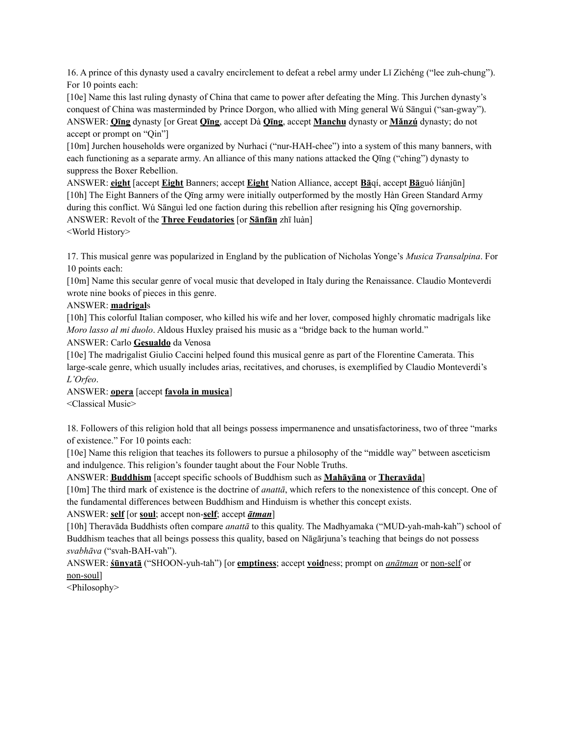16. A prince of this dynasty used a cavalry encirclement to defeat a rebel army under Lǐ Zìchéng ("lee zuh-chung"). For 10 points each:

[10e] Name this last ruling dynasty of China that came to power after defeating the Míng. This Jurchen dynasty's conquest of China was masterminded by Prince Dorgon, who allied with Míng general Wú Sānguì ("san-gway"). ANSWER: **Qīng** dynasty [or Great **Qīng**, accept Dà **Qīng**, accept **Manchu** dynasty or **Mǎnzú** dynasty; do not accept or prompt on "Qin"]

[10m] Jurchen households were organized by Nurhaci ("nur-HAH-chee") into a system of this many banners, with each functioning as a separate army. An alliance of this many nations attacked the Qīng ("ching") dynasty to suppress the Boxer Rebellion.

ANSWER: **eight** [accept **Eight** Banners; accept **Eight** Nation Alliance, accept **Bā**qí, accept **Bā**guó liánjūn] [10h] The Eight Banners of the Qīng army were initially outperformed by the mostly Hàn Green Standard Army during this conflict. Wú Sānguì led one faction during this rebellion after resigning his Qīng governorship. ANSWER: Revolt of the **Three Feudatories** [or **Sānfān** zhī luàn]

<World History>

17. This musical genre was popularized in England by the publication of Nicholas Yonge's *Musica Transalpina*. For 10 points each:

[10m] Name this secular genre of vocal music that developed in Italy during the Renaissance. Claudio Monteverdi wrote nine books of pieces in this genre.

ANSWER: **madrigal**s

[10h] This colorful Italian composer, who killed his wife and her lover, composed highly chromatic madrigals like *Moro lasso al mi duolo*. Aldous Huxley praised his music as a "bridge back to the human world."

ANSWER: Carlo **Gesualdo** da Venosa

[10e] The madrigalist Giulio Caccini helped found this musical genre as part of the Florentine Camerata. This large-scale genre, which usually includes arias, recitatives, and choruses, is exemplified by Claudio Monteverdi's *L'Orfeo*.

ANSWER: **opera** [accept **favola in musica**]

<Classical Music>

18. Followers of this religion hold that all beings possess impermanence and unsatisfactoriness, two of three "marks of existence." For 10 points each:

[10e] Name this religion that teaches its followers to pursue a philosophy of the "middle way" between asceticism and indulgence. This religion's founder taught about the Four Noble Truths.

ANSWER: **Buddhism** [accept specific schools of Buddhism such as **Mahāyāna** or **Theravāda**]

[10m] The third mark of existence is the doctrine of *anattā*, which refers to the nonexistence of this concept. One of the fundamental differences between Buddhism and Hinduism is whether this concept exists.

ANSWER: **self** [or **soul**; accept non-**self**; accept *ātman*]

[10h] Theravāda Buddhists often compare *anattā* to this quality. The Madhyamaka ("MUD-yah-mah-kah") school of Buddhism teaches that all beings possess this quality, based on Nāgārjuna's teaching that beings do not possess *svabhāva* ("svah-BAH-vah").

ANSWER: **śūnyatā** ("SHOON-yuh-tah") [or **emptiness**; accept **void**ness; prompt on *anātman* or non-self or non-soul]

<Philosophy>